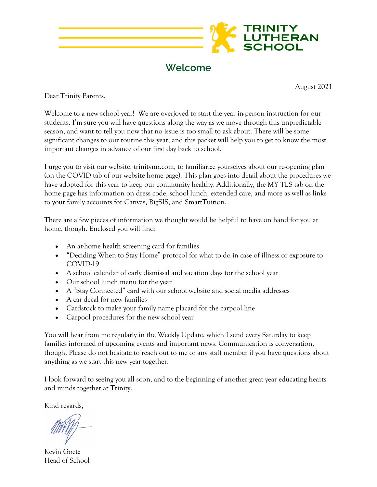

**Welcome**

August 2021

Dear Trinity Parents,

Welcome to a new school year! We are overjoyed to start the year in-person instruction for our students. I'm sure you will have questions along the way as we move through this unpredictable season, and want to tell you now that no issue is too small to ask about. There will be some significant changes to our routine this year, and this packet will help you to get to know the most important changes in advance of our first day back to school.

I urge you to visit our website, trinitynn.com, to familiarize yourselves about our re-opening plan (on the COVID tab of our website home page). This plan goes into detail about the procedures we have adopted for this year to keep our community healthy. Additionally, the MY TLS tab on the home page has information on dress code, school lunch, extended care, and more as well as links to your family accounts for Canvas, BigSIS, and SmartTuition.

There are a few pieces of information we thought would be helpful to have on hand for you at home, though. Enclosed you will find:

- An at-home health screening card for families
- "Deciding When to Stay Home" protocol for what to do in case of illness or exposure to COVID-19
- A school calendar of early dismissal and vacation days for the school year
- Our school lunch menu for the year
- A "Stay Connected" card with our school website and social media addresses
- A car decal for new families
- Cardstock to make your family name placard for the carpool line
- Carpool procedures for the new school year

You will hear from me regularly in the Weekly Update, which I send every Saturday to keep families informed of upcoming events and important news. Communication is conversation, though. Please do not hesitate to reach out to me or any staff member if you have questions about anything as we start this new year together.

I look forward to seeing you all soon, and to the beginning of another great year educating hearts and minds together at Trinity.

Kind regards,

Kevin Goetz Head of School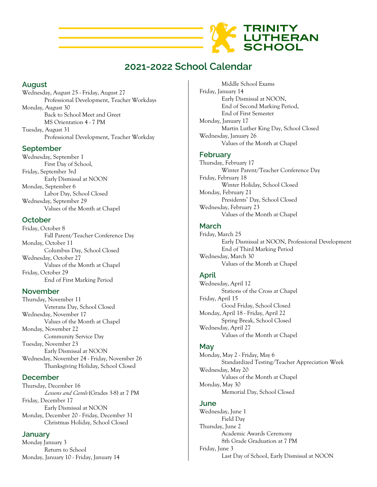

# **2021-2022 School Calendar**

#### **August**

Wednesday, August 25 - Friday, August 27 Professional Development, Teacher Workdays Monday, August 30 Back to School Meet and Greet MS Orientation 4 - 7 PM Tuesday, August 31 Professional Development, Teacher Workday

#### **September**

Wednesday, September 1 First Day of School, Friday, September 3rd Early Dismissal at NOON Monday, September 6 Labor Day, School Closed Wednesday, September 29 Values of the Month at Chapel

## **October**

Friday, October 8 Fall Parent/Teacher Conference Day Monday, October 11 Columbus Day, School Closed Wednesday, October 27 Values of the Month at Chapel Friday, October 29 End of First Marking Period

#### **November**

Thursday, November 11 Veterans Day, School Closed Wednesday, November 17 Values of the Month at Chapel Monday, November 22 Community Service Day Tuesday, November 23 Early Dismissal at NOON Wednesday, November 24 - Friday, November 26 Thanksgiving Holiday, School Closed

#### **December**

Thursday, December 16 *Lessons and Carols* (Grades 3-8) at 7 PM Friday, December 17 Early Dismissal at NOON Monday, December 20 - Friday, December 31 Christmas Holiday, School Closed

#### **January**

Monday January 3 Return to School Monday, January 10 - Friday, January 14

Middle School Exams Friday, January 14 Early Dismissal at NOON, End of Second Marking Period, End of First Semester Monday, January 17 Martin Luther King Day, School Closed Wednesday, January 26 Values of the Month at Chapel

## **February**

Thursday, February 17 Winter Parent/Teacher Conference Day Friday, February 18 Winter Holiday, School Closed Monday, February 21 Presidents' Day, School Closed Wednesday, February 23 Values of the Month at Chapel

## **March**

Friday, March 25 Early Dismissal at NOON, Professional Development End of Third Marking Period Wednesday, March 30 Values of the Month at Chapel

## **April**

Wednesday, April 12 Stations of the Cross at Chapel Friday, April 15 Good Friday, School Closed Monday, April 18 - Friday, April 22 Spring Break, School Closed Wednesday, April 27 Values of the Month at Chapel

#### **May**

Monday, May 2 - Friday, May 6 Standardized Testing/Teacher Appreciation Week Wednesday, May 20 Values of the Month at Chapel Monday, May 30 Memorial Day, School Closed

#### **June**

Wednesday, June 1 Field Day Thursday, June 2 Academic Awards Ceremony 8th Grade Graduation at 7 PM Friday, June 3 Last Day of School, Early Dismissal at NOON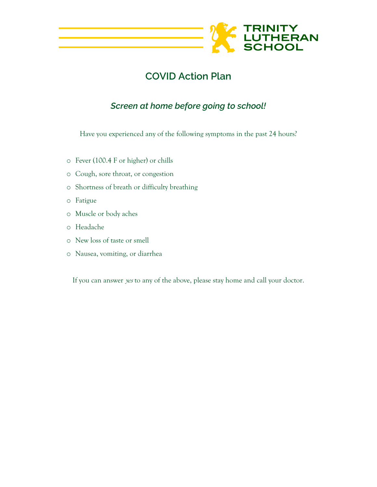

# **COVID Action Plan**

# *Screen at home before going to school!*

Have you experienced any of the following symptoms in the past 24 hours?

- o Fever (100.4 F or higher) or chills
- o Cough, sore throat, or congestion
- o Shortness of breath or difficulty breathing
- o Fatigue
- o Muscle or body aches
- o Headache
- o New loss of taste or smell
- o Nausea, vomiting, or diarrhea

If you can answer *yes* to any of the above, please stay home and call your doctor.